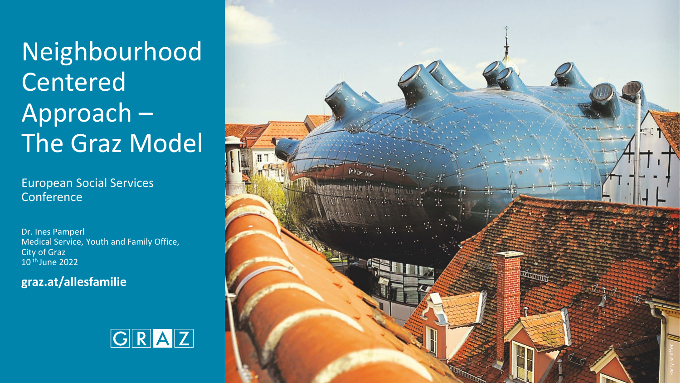Neighbourhood Centered Approach – The Graz Model

European Social Services **Conference** 

Dr. Ines Pamperl Medical Service, Youth and Family Office, City of Graz 10 th June 2022

**graz.at/allesfamilie**



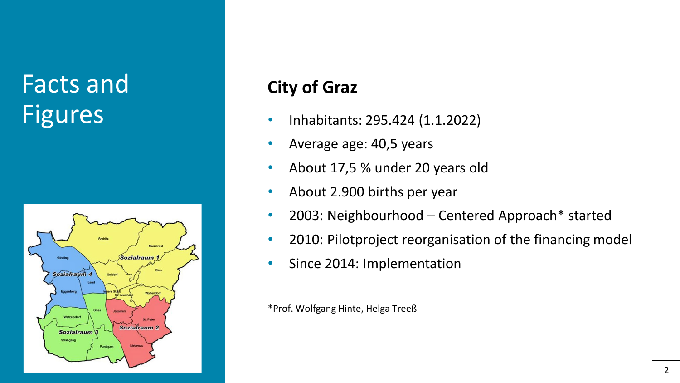### Facts and Figures



#### **City of Graz**

- Inhabitants: 295.424 (1.1.2022)
- Average age: 40,5 years
- About 17,5 % under 20 years old
- About 2.900 births per year
- 2003: Neighbourhood Centered Approach\* started
- 2010: Pilotproject reorganisation of the financing model
- Since 2014: Implementation

\*Prof. Wolfgang Hinte, Helga Treeß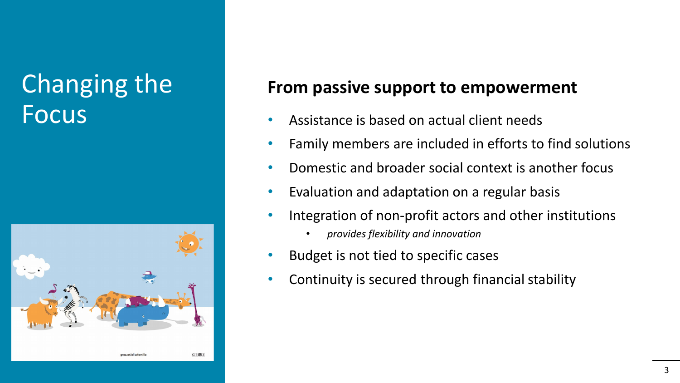#### Changing the Focus



#### **From passive support to empowerment**

- Assistance is based on actual client needs
- Family members are included in efforts to find solutions
- Domestic and broader social context is another focus
- Evaluation and adaptation on a regular basis
- Integration of non-profit actors and other institutions
	- *provides flexibility and innovation*
- Budget is not tied to specific cases
- Continuity is secured through financial stability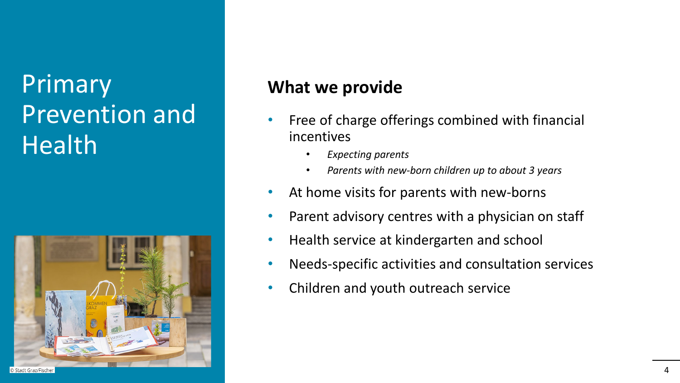# Primary Prevention and **Health**



#### **What we provide**

- Free of charge offerings combined with financial incentives
	- *Expecting parents*
	- *Parents with new-born children up to about 3 years*
- At home visits for parents with new-borns
- Parent advisory centres with a physician on staff
- Health service at kindergarten and school
- Needs-specific activities and consultation services
- Children and youth outreach service

4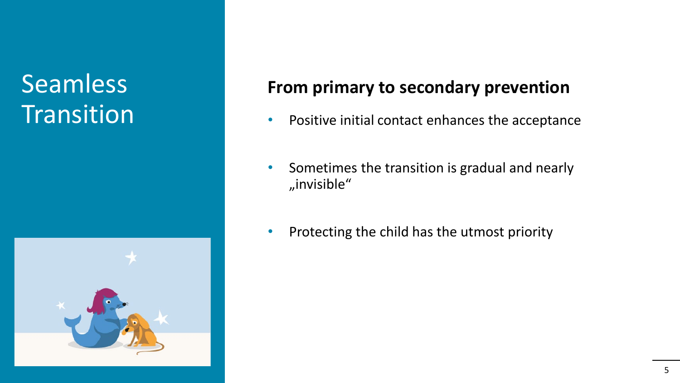### Seamless **Transition**



#### **From primary to secondary prevention**

- Positive initial contact enhances the acceptance
- Sometimes the transition is gradual and nearly "invisible"
- Protecting the child has the utmost priority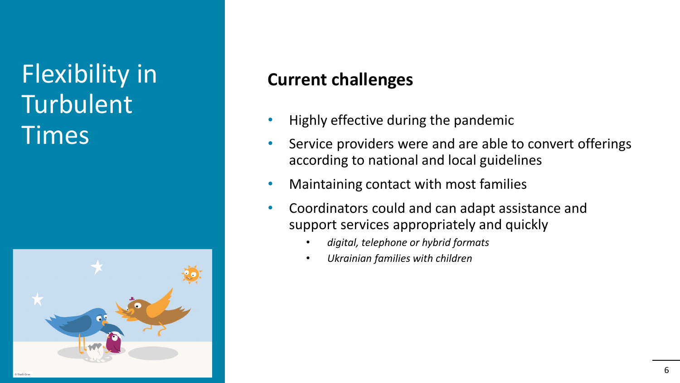# Flexibility in Turbulent Times



#### **Current challenges**

- Highly effective during the pandemic
- Service providers were and are able to convert offerings according to national and local guidelines
- Maintaining contact with most families
- Coordinators could and can adapt assistance and support services appropriately and quickly
	- *digital, telephone or hybrid formats*
	- *Ukrainian families with children*